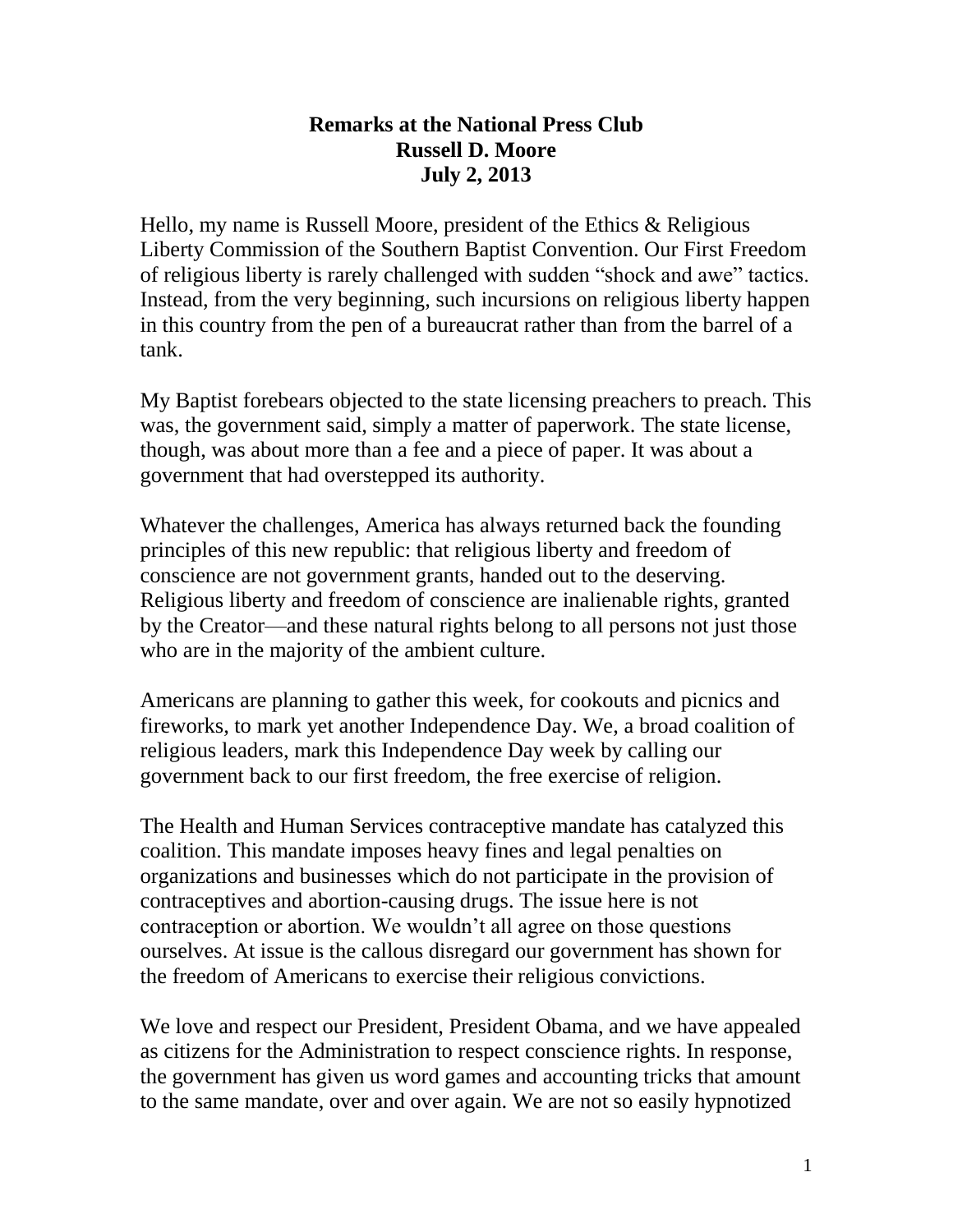### **Remarks at the National Press Club Russell D. Moore July 2, 2013**

Hello, my name is Russell Moore, president of the Ethics & Religious Liberty Commission of the Southern Baptist Convention. Our First Freedom of religious liberty is rarely challenged with sudden "shock and awe" tactics. Instead, from the very beginning, such incursions on religious liberty happen in this country from the pen of a bureaucrat rather than from the barrel of a tank.

My Baptist forebears objected to the state licensing preachers to preach. This was, the government said, simply a matter of paperwork. The state license, though, was about more than a fee and a piece of paper. It was about a government that had overstepped its authority.

Whatever the challenges, America has always returned back the founding principles of this new republic: that religious liberty and freedom of conscience are not government grants, handed out to the deserving. Religious liberty and freedom of conscience are inalienable rights, granted by the Creator—and these natural rights belong to all persons not just those who are in the majority of the ambient culture.

Americans are planning to gather this week, for cookouts and picnics and fireworks, to mark yet another Independence Day. We, a broad coalition of religious leaders, mark this Independence Day week by calling our government back to our first freedom, the free exercise of religion.

The Health and Human Services contraceptive mandate has catalyzed this coalition. This mandate imposes heavy fines and legal penalties on organizations and businesses which do not participate in the provision of contraceptives and abortion-causing drugs. The issue here is not contraception or abortion. We wouldn't all agree on those questions ourselves. At issue is the callous disregard our government has shown for the freedom of Americans to exercise their religious convictions.

We love and respect our President, President Obama, and we have appealed as citizens for the Administration to respect conscience rights. In response, the government has given us word games and accounting tricks that amount to the same mandate, over and over again. We are not so easily hypnotized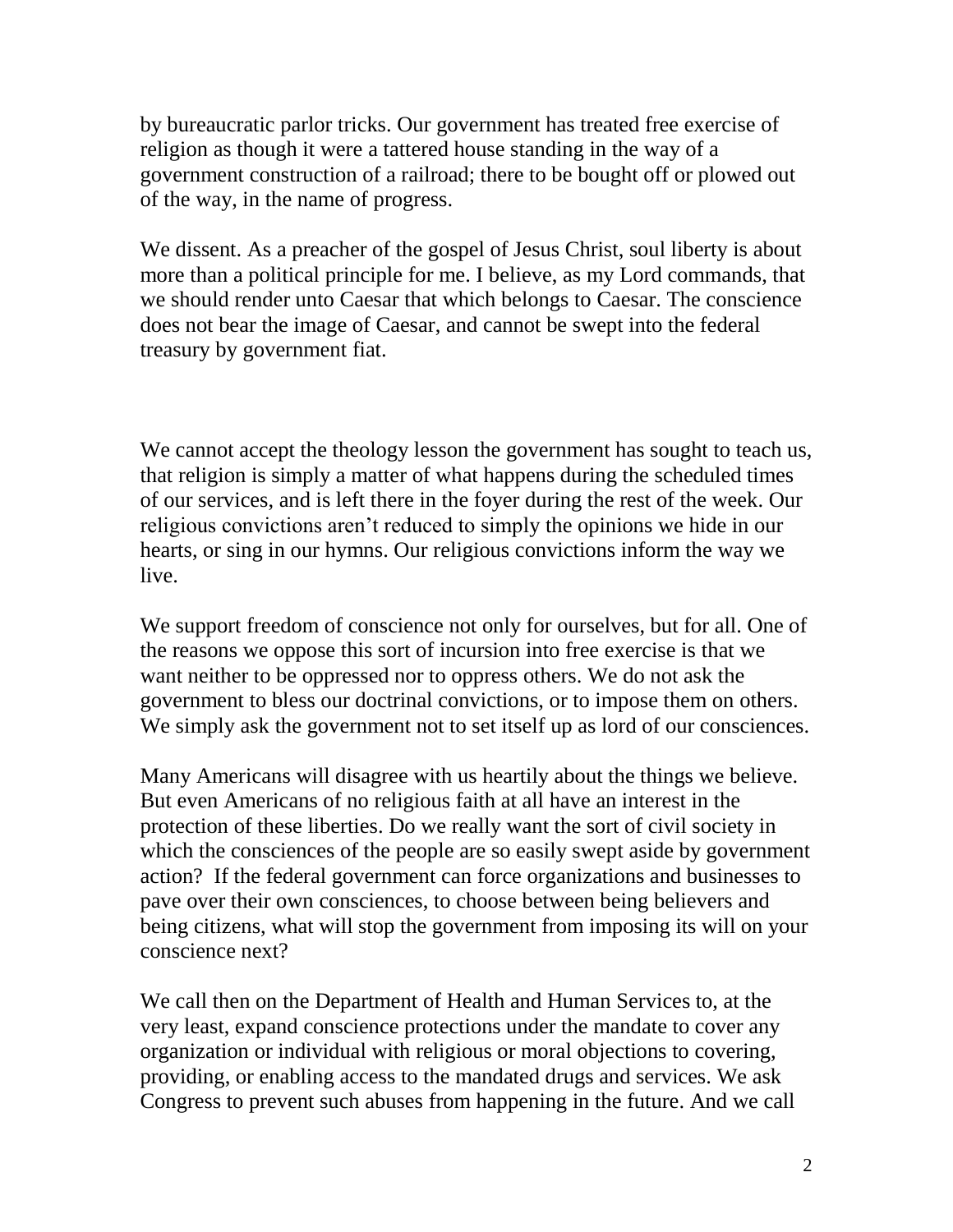by bureaucratic parlor tricks. Our government has treated free exercise of religion as though it were a tattered house standing in the way of a government construction of a railroad; there to be bought off or plowed out of the way, in the name of progress.

We dissent. As a preacher of the gospel of Jesus Christ, soul liberty is about more than a political principle for me. I believe, as my Lord commands, that we should render unto Caesar that which belongs to Caesar. The conscience does not bear the image of Caesar, and cannot be swept into the federal treasury by government fiat.

We cannot accept the theology lesson the government has sought to teach us, that religion is simply a matter of what happens during the scheduled times of our services, and is left there in the foyer during the rest of the week. Our religious convictions aren't reduced to simply the opinions we hide in our hearts, or sing in our hymns. Our religious convictions inform the way we live.

We support freedom of conscience not only for ourselves, but for all. One of the reasons we oppose this sort of incursion into free exercise is that we want neither to be oppressed nor to oppress others. We do not ask the government to bless our doctrinal convictions, or to impose them on others. We simply ask the government not to set itself up as lord of our consciences.

Many Americans will disagree with us heartily about the things we believe. But even Americans of no religious faith at all have an interest in the protection of these liberties. Do we really want the sort of civil society in which the consciences of the people are so easily swept aside by government action? If the federal government can force organizations and businesses to pave over their own consciences, to choose between being believers and being citizens, what will stop the government from imposing its will on your conscience next?

We call then on the Department of Health and Human Services to, at the very least, expand conscience protections under the mandate to cover any organization or individual with religious or moral objections to covering, providing, or enabling access to the mandated drugs and services. We ask Congress to prevent such abuses from happening in the future. And we call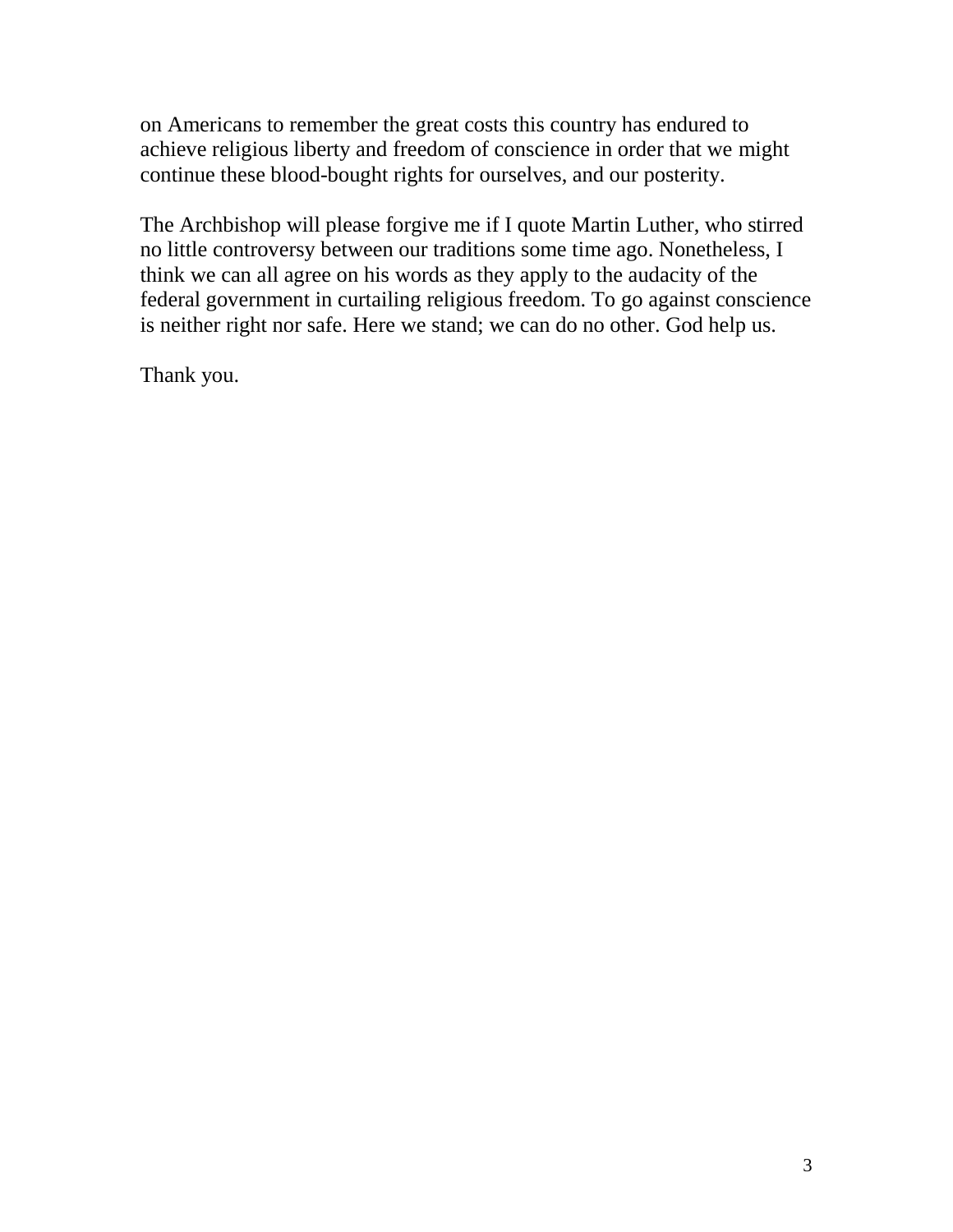on Americans to remember the great costs this country has endured to achieve religious liberty and freedom of conscience in order that we might continue these blood-bought rights for ourselves, and our posterity.

The Archbishop will please forgive me if I quote Martin Luther, who stirred no little controversy between our traditions some time ago. Nonetheless, I think we can all agree on his words as they apply to the audacity of the federal government in curtailing religious freedom. To go against conscience is neither right nor safe. Here we stand; we can do no other. God help us.

Thank you.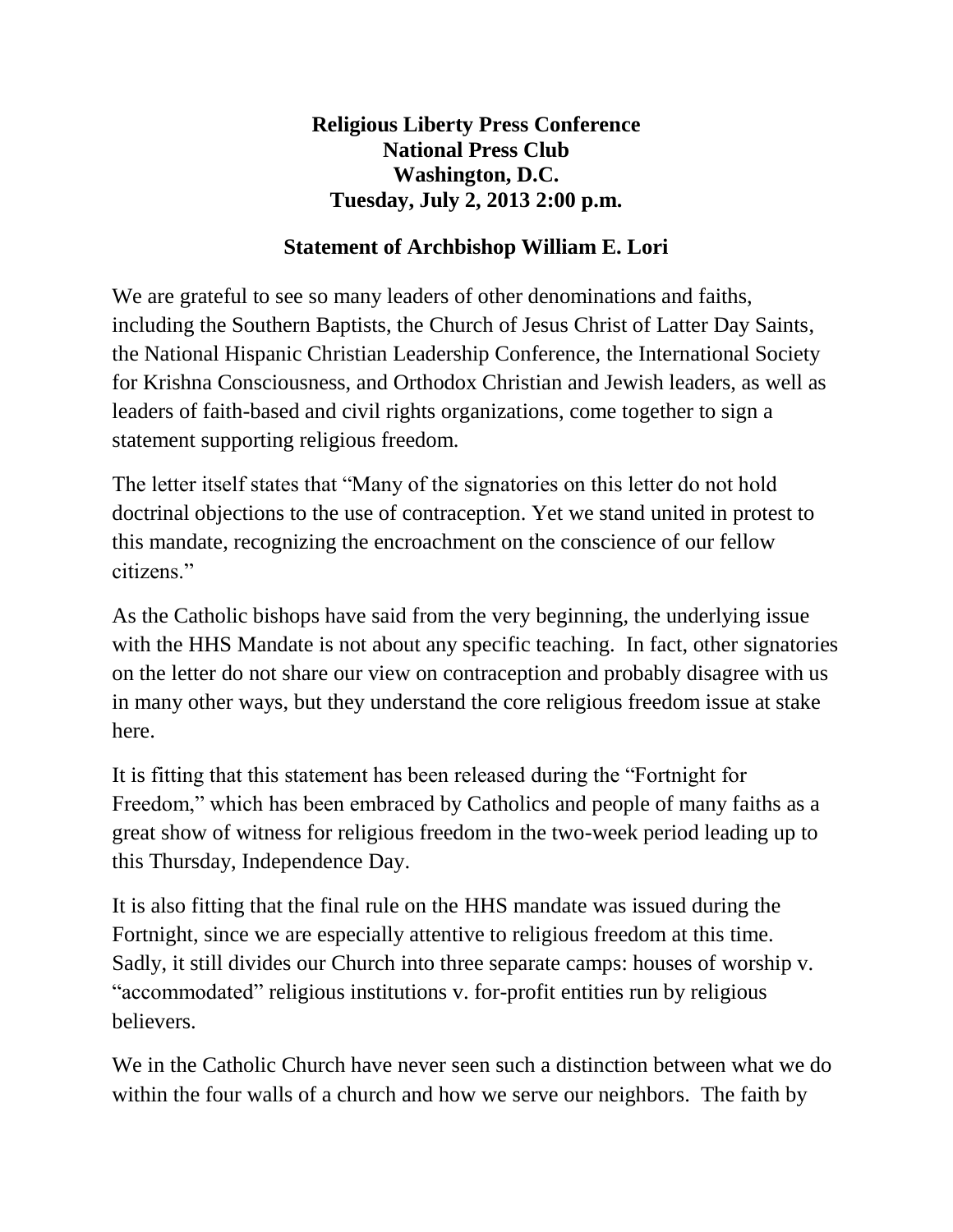**Religious Liberty Press Conference National Press Club Washington, D.C. Tuesday, July 2, 2013 2:00 p.m.**

## **Statement of Archbishop William E. Lori**

We are grateful to see so many leaders of other denominations and faiths, including the Southern Baptists, the Church of Jesus Christ of Latter Day Saints, the National Hispanic Christian Leadership Conference, the International Society for Krishna Consciousness, and Orthodox Christian and Jewish leaders, as well as leaders of faith-based and civil rights organizations, come together to sign a statement supporting religious freedom.

The letter itself states that "Many of the signatories on this letter do not hold doctrinal objections to the use of contraception. Yet we stand united in protest to this mandate, recognizing the encroachment on the conscience of our fellow citizens."

As the Catholic bishops have said from the very beginning, the underlying issue with the HHS Mandate is not about any specific teaching. In fact, other signatories on the letter do not share our view on contraception and probably disagree with us in many other ways, but they understand the core religious freedom issue at stake here.

It is fitting that this statement has been released during the "Fortnight for Freedom," which has been embraced by Catholics and people of many faiths as a great show of witness for religious freedom in the two-week period leading up to this Thursday, Independence Day.

It is also fitting that the final rule on the HHS mandate was issued during the Fortnight, since we are especially attentive to religious freedom at this time. Sadly, it still divides our Church into three separate camps: houses of worship v. "accommodated" religious institutions v. for-profit entities run by religious believers.

We in the Catholic Church have never seen such a distinction between what we do within the four walls of a church and how we serve our neighbors. The faith by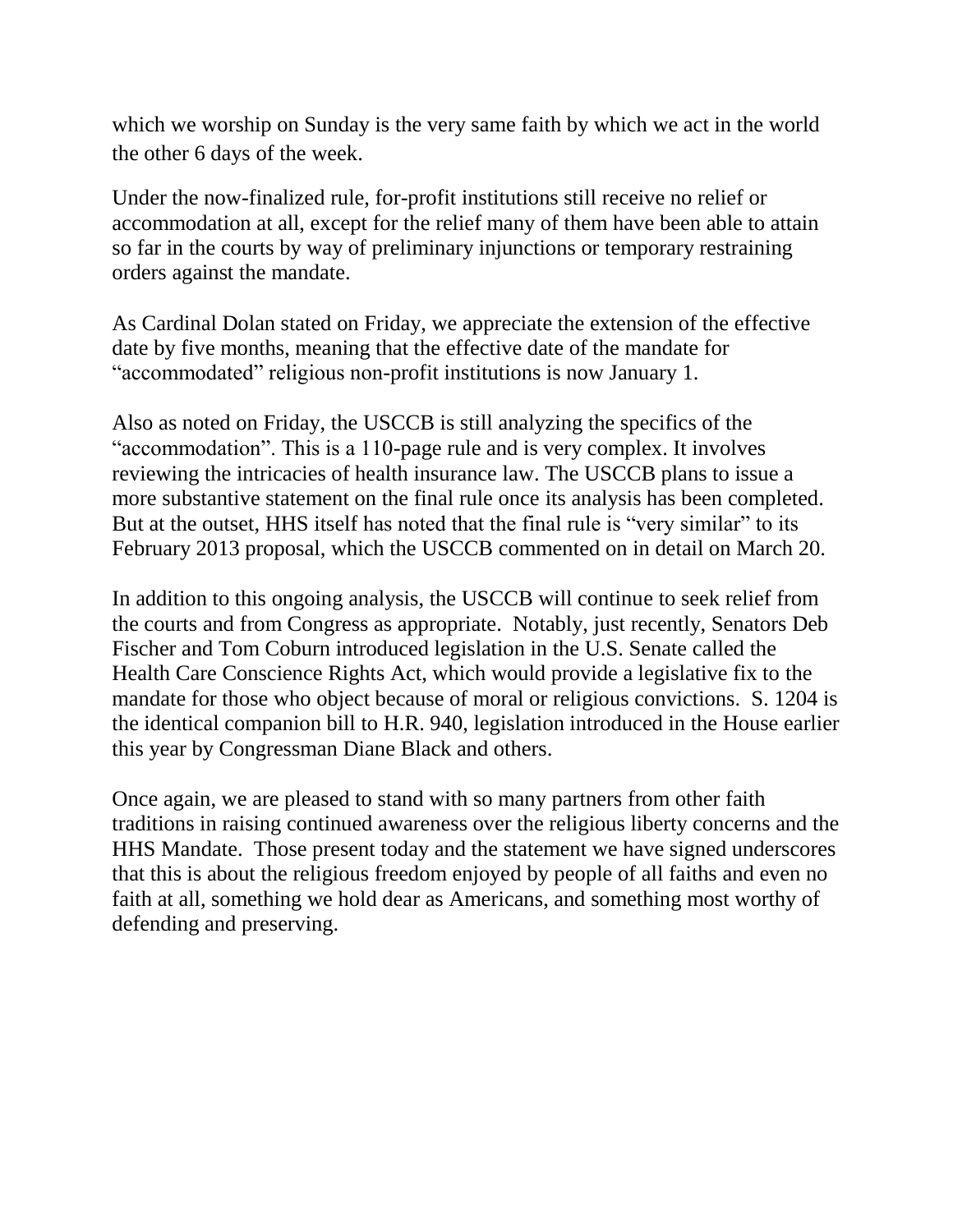which we worship on Sunday is the very same faith by which we act in the world the other 6 days of the week.

Under the now-finalized rule, for-profit institutions still receive no relief or accommodation at all, except for the relief many of them have been able to attain so far in the courts by way of preliminary injunctions or temporary restraining orders against the mandate.

As Cardinal Dolan stated on Friday, we appreciate the extension of the effective date by five months, meaning that the effective date of the mandate for "accommodated" religious non-profit institutions is now January 1.

Also as noted on Friday, the USCCB is still analyzing the specifics of the "accommodation". This is a 110-page rule and is very complex. It involves reviewing the intricacies of health insurance law. The USCCB plans to issue a more substantive statement on the final rule once its analysis has been completed. But at the outset, HHS itself has noted that the final rule is "very similar" to its February 2013 proposal, which the USCCB commented on in detail on March 20.

In addition to this ongoing analysis, the USCCB will continue to seek relief from the courts and from Congress as appropriate. Notably, just recently, Senators Deb Fischer and Tom Coburn introduced legislation in the U.S. Senate called the Health Care Conscience Rights Act, which would provide a legislative fix to the mandate for those who object because of moral or religious convictions. S. 1204 is the identical companion bill to H.R. 940, legislation introduced in the House earlier this year by Congressman Diane Black and others.

Once again, we are pleased to stand with so many partners from other faith traditions in raising continued awareness over the religious liberty concerns and the HHS Mandate. Those present today and the statement we have signed underscores that this is about the religious freedom enjoyed by people of all faiths and even no faith at all, something we hold dear as Americans, and something most worthy of defending and preserving.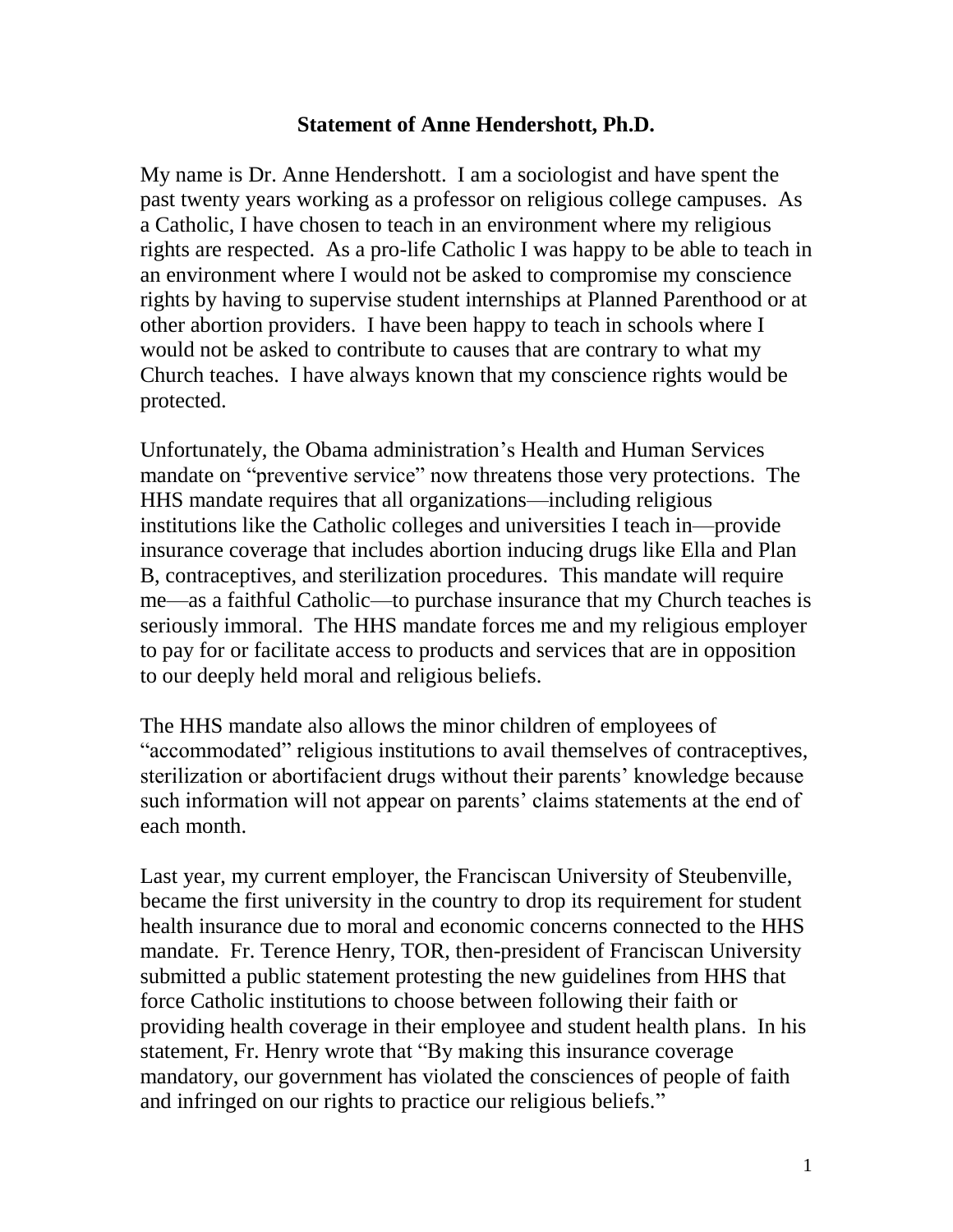#### **Statement of Anne Hendershott, Ph.D.**

My name is Dr. Anne Hendershott. I am a sociologist and have spent the past twenty years working as a professor on religious college campuses. As a Catholic, I have chosen to teach in an environment where my religious rights are respected. As a pro-life Catholic I was happy to be able to teach in an environment where I would not be asked to compromise my conscience rights by having to supervise student internships at Planned Parenthood or at other abortion providers. I have been happy to teach in schools where I would not be asked to contribute to causes that are contrary to what my Church teaches. I have always known that my conscience rights would be protected.

Unfortunately, the Obama administration's Health and Human Services mandate on "preventive service" now threatens those very protections. The HHS mandate requires that all organizations—including religious institutions like the Catholic colleges and universities I teach in—provide insurance coverage that includes abortion inducing drugs like Ella and Plan B, contraceptives, and sterilization procedures. This mandate will require me—as a faithful Catholic—to purchase insurance that my Church teaches is seriously immoral. The HHS mandate forces me and my religious employer to pay for or facilitate access to products and services that are in opposition to our deeply held moral and religious beliefs.

The HHS mandate also allows the minor children of employees of "accommodated" religious institutions to avail themselves of contraceptives, sterilization or abortifacient drugs without their parents' knowledge because such information will not appear on parents' claims statements at the end of each month.

Last year, my current employer, the Franciscan University of Steubenville, became the first university in the country to drop its requirement for student health insurance due to moral and economic concerns connected to the HHS mandate. Fr. Terence Henry, TOR, then-president of Franciscan University submitted a public statement protesting the new guidelines from HHS that force Catholic institutions to choose between following their faith or providing health coverage in their employee and student health plans. In his statement, Fr. Henry wrote that "By making this insurance coverage mandatory, our government has violated the consciences of people of faith and infringed on our rights to practice our religious beliefs."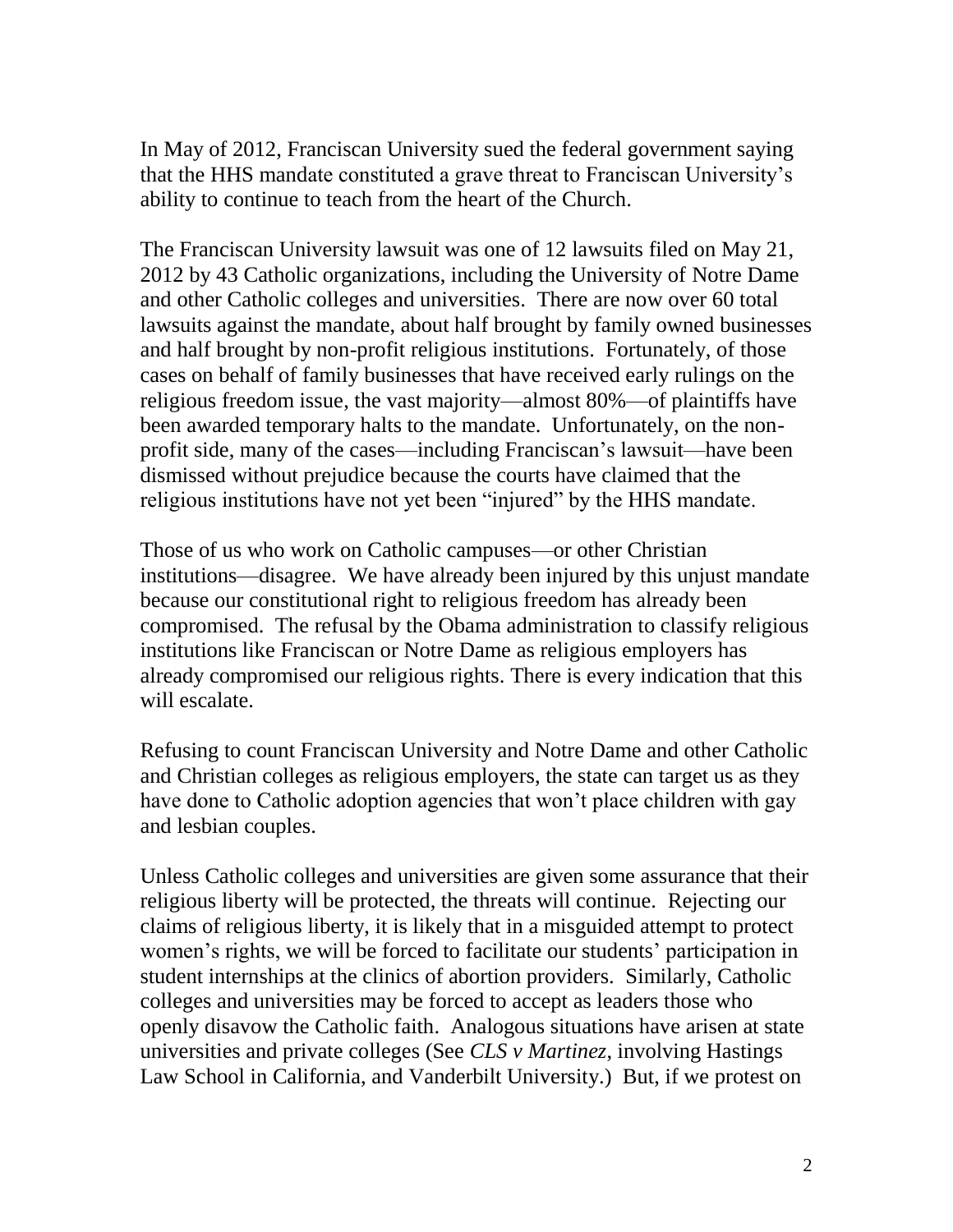In May of 2012, Franciscan University sued the federal government saying that the HHS mandate constituted a grave threat to Franciscan University's ability to continue to teach from the heart of the Church.

The Franciscan University lawsuit was one of 12 lawsuits filed on May 21, 2012 by 43 Catholic organizations, including the University of Notre Dame and other Catholic colleges and universities. There are now over 60 total lawsuits against the mandate, about half brought by family owned businesses and half brought by non-profit religious institutions. Fortunately, of those cases on behalf of family businesses that have received early rulings on the religious freedom issue, the vast majority—almost 80%—of plaintiffs have been awarded temporary halts to the mandate. Unfortunately, on the nonprofit side, many of the cases—including Franciscan's lawsuit—have been dismissed without prejudice because the courts have claimed that the religious institutions have not yet been "injured" by the HHS mandate.

Those of us who work on Catholic campuses—or other Christian institutions—disagree. We have already been injured by this unjust mandate because our constitutional right to religious freedom has already been compromised. The refusal by the Obama administration to classify religious institutions like Franciscan or Notre Dame as religious employers has already compromised our religious rights. There is every indication that this will escalate.

Refusing to count Franciscan University and Notre Dame and other Catholic and Christian colleges as religious employers, the state can target us as they have done to Catholic adoption agencies that won't place children with gay and lesbian couples.

Unless Catholic colleges and universities are given some assurance that their religious liberty will be protected, the threats will continue. Rejecting our claims of religious liberty, it is likely that in a misguided attempt to protect women's rights, we will be forced to facilitate our students' participation in student internships at the clinics of abortion providers. Similarly, Catholic colleges and universities may be forced to accept as leaders those who openly disavow the Catholic faith. Analogous situations have arisen at state universities and private colleges (See *CLS v Martinez*, involving Hastings Law School in California, and Vanderbilt University.) But, if we protest on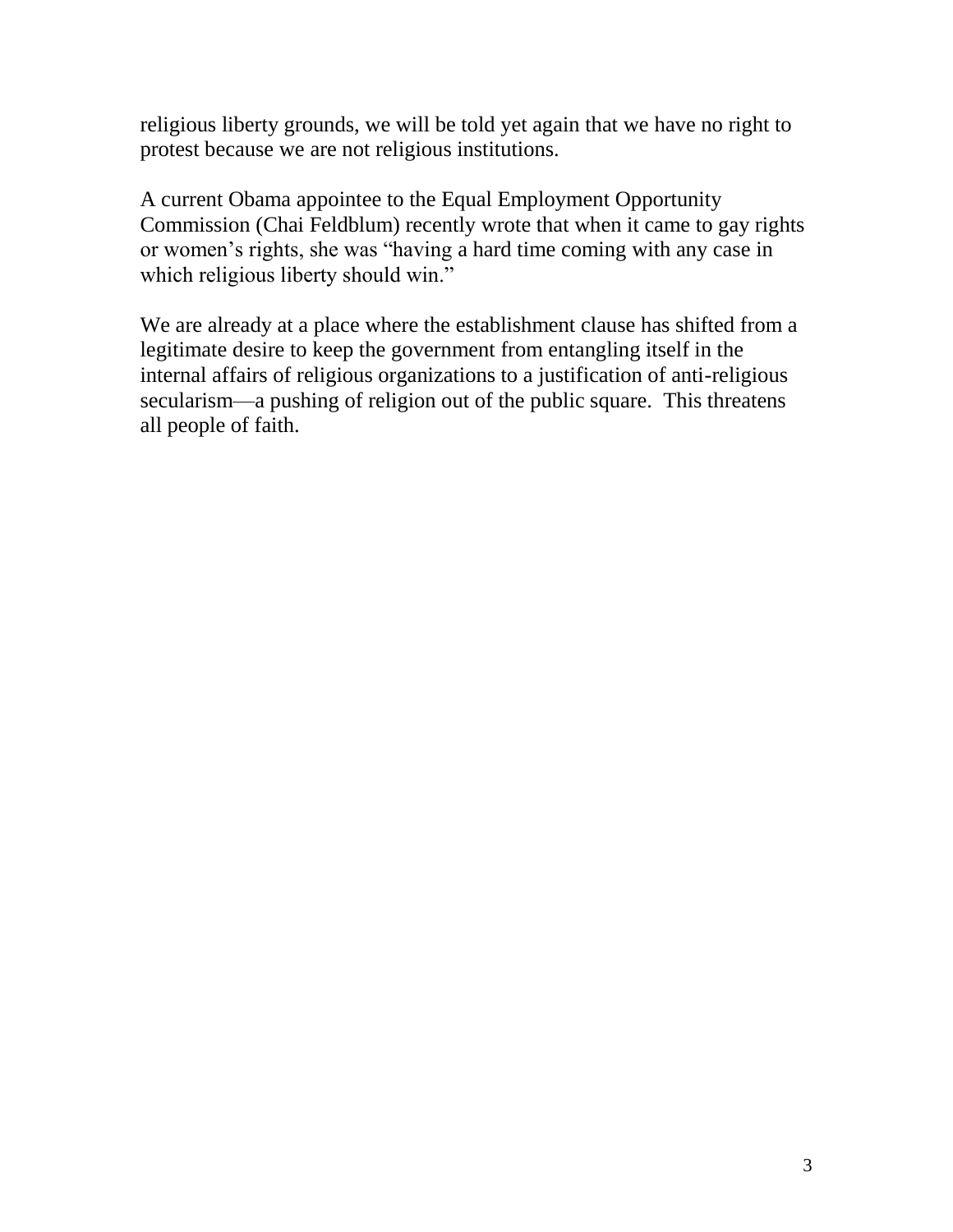religious liberty grounds, we will be told yet again that we have no right to protest because we are not religious institutions.

A current Obama appointee to the Equal Employment Opportunity Commission (Chai Feldblum) recently wrote that when it came to gay rights or women's rights, she was "having a hard time coming with any case in which religious liberty should win."

We are already at a place where the establishment clause has shifted from a legitimate desire to keep the government from entangling itself in the internal affairs of religious organizations to a justification of anti-religious secularism—a pushing of religion out of the public square. This threatens all people of faith.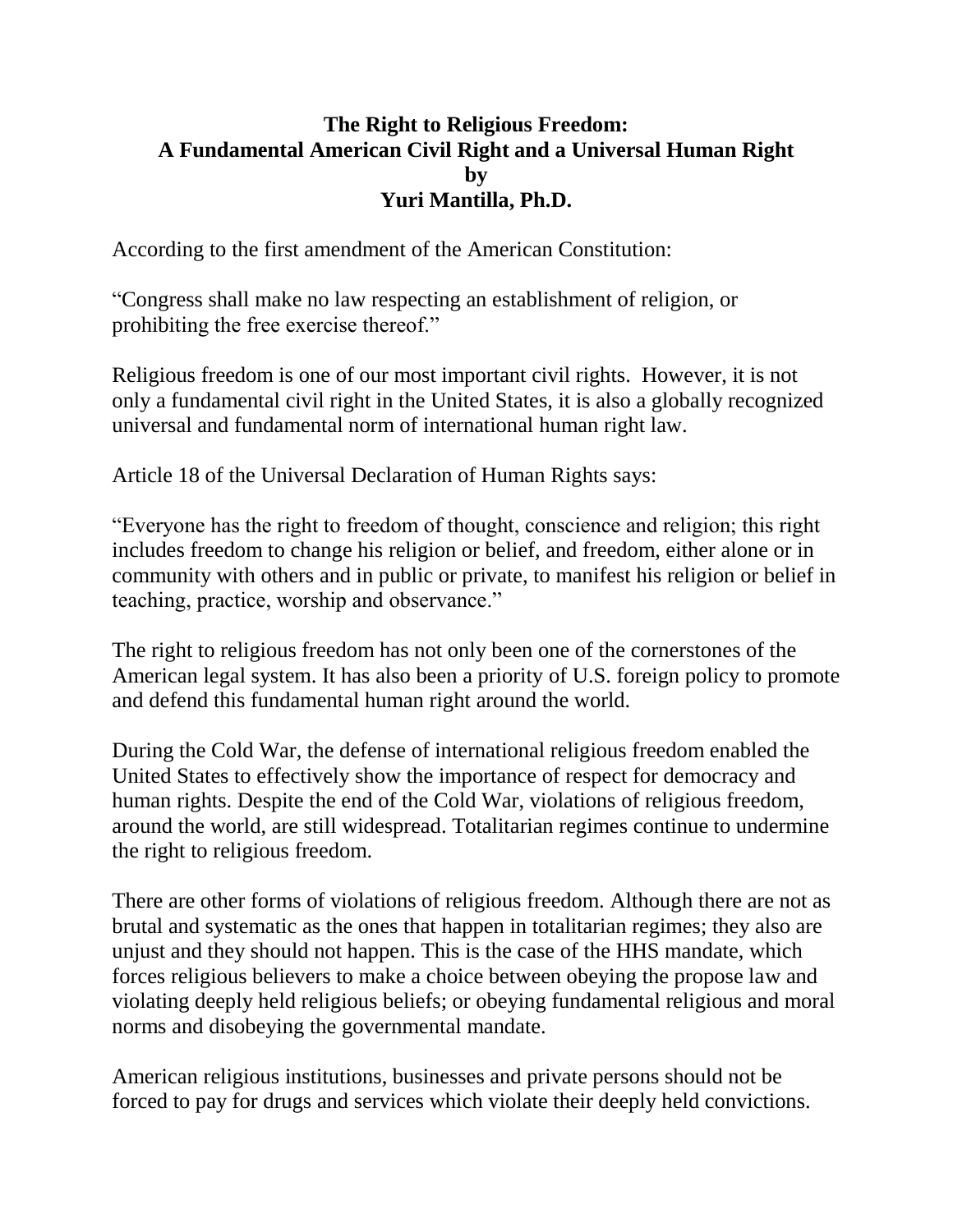## **The Right to Religious Freedom: A Fundamental American Civil Right and a Universal Human Right by Yuri Mantilla, Ph.D.**

According to the first amendment of the American Constitution:

"Congress shall make no law respecting an establishment of religion, or prohibiting the free exercise thereof."

Religious freedom is one of our most important civil rights. However, it is not only a fundamental civil right in the United States, it is also a globally recognized universal and fundamental norm of international human right law.

Article 18 of the Universal Declaration of Human Rights says:

"Everyone has the right to freedom of thought, conscience and religion; this right includes freedom to change his religion or belief, and freedom, either alone or in community with others and in public or private, to manifest his religion or belief in teaching, practice, worship and observance."

The right to religious freedom has not only been one of the cornerstones of the American legal system. It has also been a priority of U.S. foreign policy to promote and defend this fundamental human right around the world.

During the Cold War, the defense of international religious freedom enabled the United States to effectively show the importance of respect for democracy and human rights. Despite the end of the Cold War, violations of religious freedom, around the world, are still widespread. Totalitarian regimes continue to undermine the right to religious freedom.

There are other forms of violations of religious freedom. Although there are not as brutal and systematic as the ones that happen in totalitarian regimes; they also are unjust and they should not happen. This is the case of the HHS mandate, which forces religious believers to make a choice between obeying the propose law and violating deeply held religious beliefs; or obeying fundamental religious and moral norms and disobeying the governmental mandate.

American religious institutions, businesses and private persons should not be forced to pay for drugs and services which violate their deeply held convictions.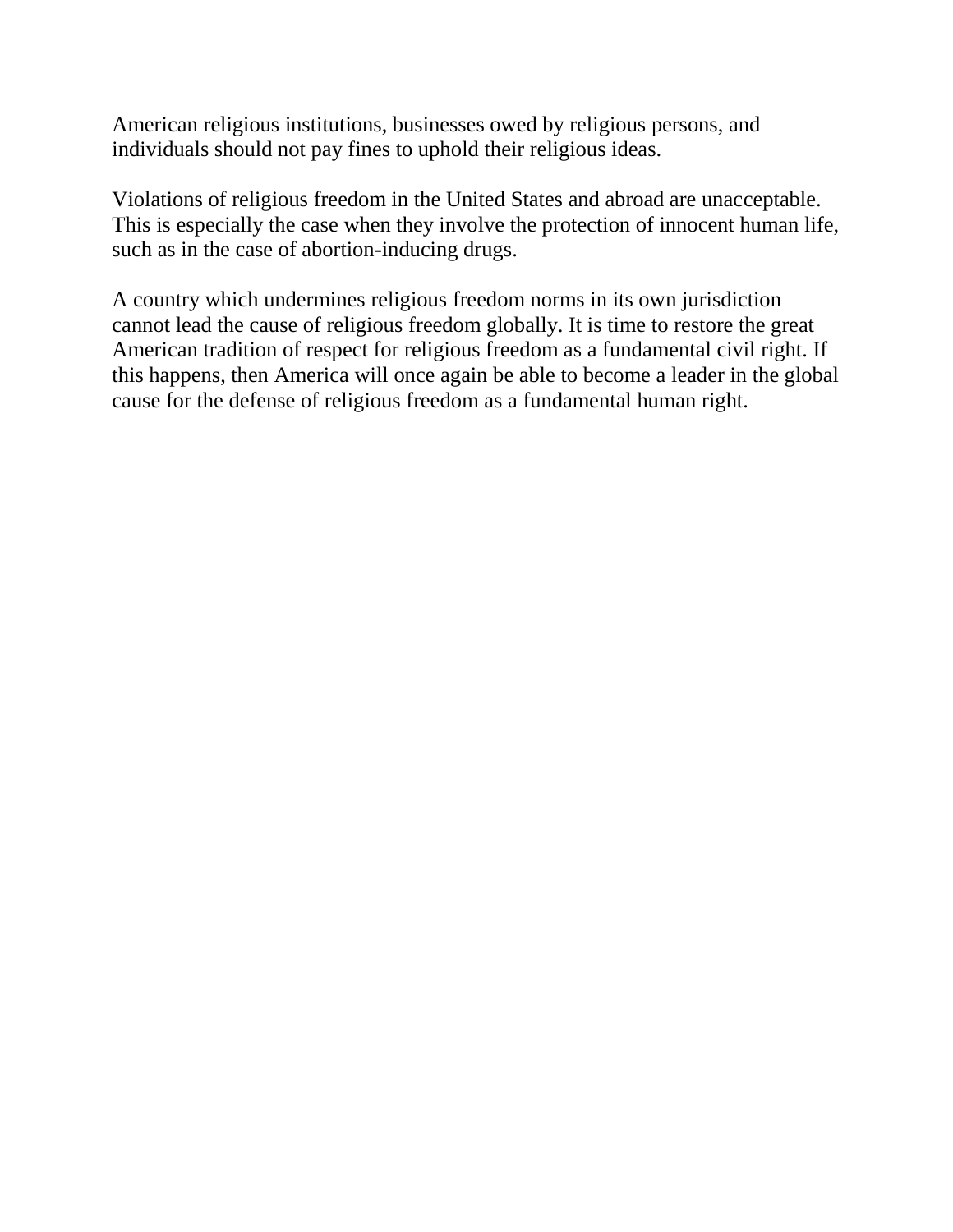American religious institutions, businesses owed by religious persons, and individuals should not pay fines to uphold their religious ideas.

Violations of religious freedom in the United States and abroad are unacceptable. This is especially the case when they involve the protection of innocent human life, such as in the case of abortion-inducing drugs.

A country which undermines religious freedom norms in its own jurisdiction cannot lead the cause of religious freedom globally. It is time to restore the great American tradition of respect for religious freedom as a fundamental civil right. If this happens, then America will once again be able to become a leader in the global cause for the defense of religious freedom as a fundamental human right.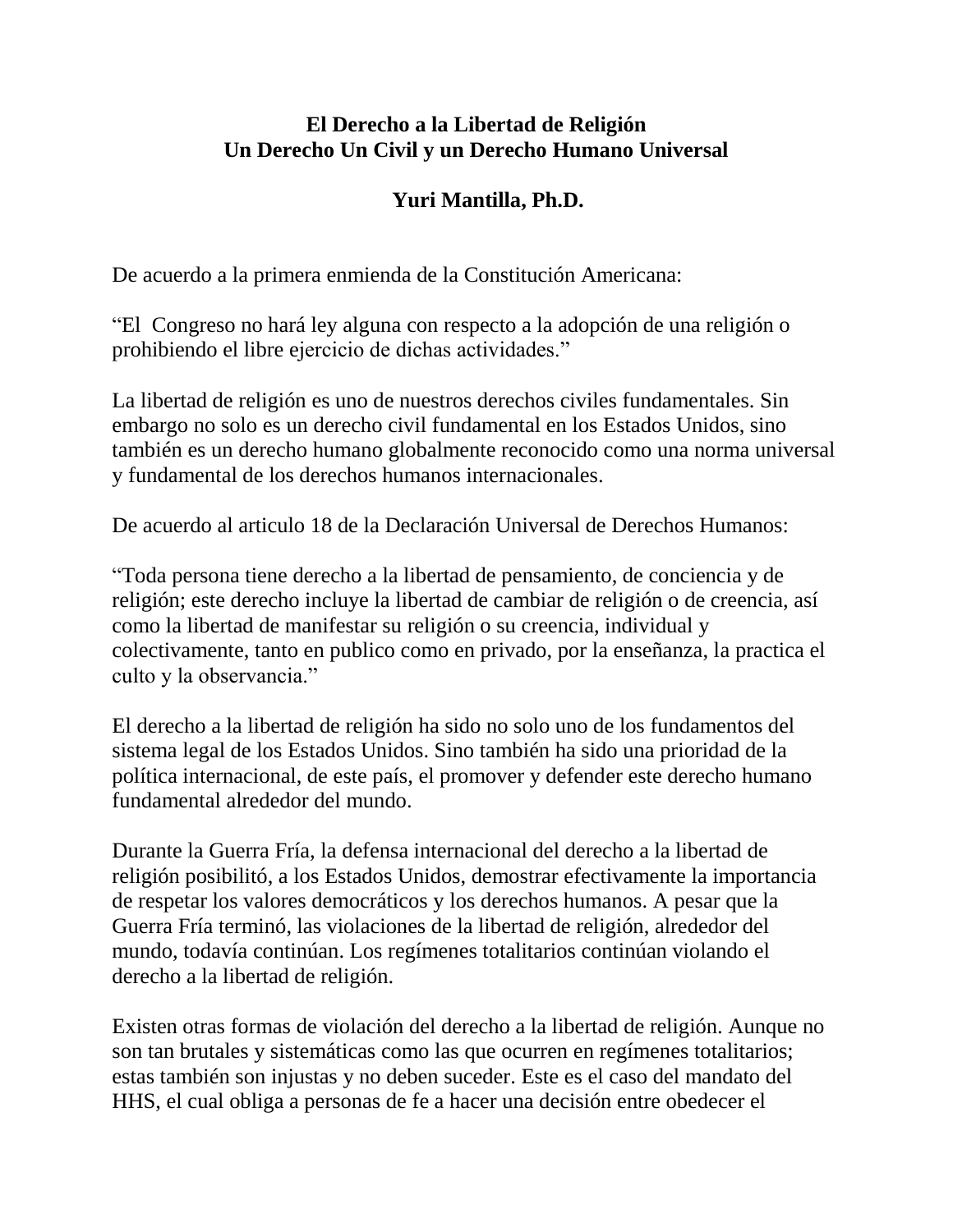## **El Derecho a la Libertad de Religión Un Derecho Un Civil y un Derecho Humano Universal**

# **Yuri Mantilla, Ph.D.**

De acuerdo a la primera enmienda de la Constitución Americana:

"El Congreso no hará ley alguna con respecto a la adopción de una religión o prohibiendo el libre ejercicio de dichas actividades."

La libertad de religión es uno de nuestros derechos civiles fundamentales. Sin embargo no solo es un derecho civil fundamental en los Estados Unidos, sino también es un derecho humano globalmente reconocido como una norma universal y fundamental de los derechos humanos internacionales.

De acuerdo al articulo 18 de la Declaración Universal de Derechos Humanos:

"Toda persona tiene derecho a la libertad de pensamiento, de conciencia y de religión; este derecho incluye la libertad de cambiar de religión o de creencia, así como la libertad de manifestar su religión o su creencia, individual y colectivamente, tanto en publico como en privado, por la enseñanza, la practica el culto y la observancia."

El derecho a la libertad de religión ha sido no solo uno de los fundamentos del sistema legal de los Estados Unidos. Sino también ha sido una prioridad de la política internacional, de este país, el promover y defender este derecho humano fundamental alrededor del mundo.

Durante la Guerra Fría, la defensa internacional del derecho a la libertad de religión posibilitó, a los Estados Unidos, demostrar efectivamente la importancia de respetar los valores democráticos y los derechos humanos. A pesar que la Guerra Fría terminó, las violaciones de la libertad de religión, alrededor del mundo, todavía continúan. Los regímenes totalitarios continúan violando el derecho a la libertad de religión.

Existen otras formas de violación del derecho a la libertad de religión. Aunque no son tan brutales y sistemáticas como las que ocurren en regímenes totalitarios; estas también son injustas y no deben suceder. Este es el caso del mandato del HHS, el cual obliga a personas de fe a hacer una decisión entre obedecer el